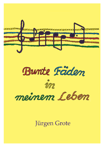





meinem Leben

# Jürgen Grote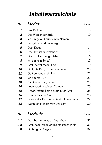# **Inhaltsverzeichnis**

| Nr.                     | <b>Lieder</b>                            | Seite |
|-------------------------|------------------------------------------|-------|
| 1                       | Das Eselein                              | 8     |
| $\boldsymbol{2}$        | Das Wasser der Erde                      | 10    |
| 3                       | Ich bin getauft auf deinen Namen         | 12    |
| 4                       | Sei getrost und unverzagt                | 13    |
| 5                       | Dein Kreuz                               | 14    |
| 6                       | Der Herr ist auferstanden                | 15    |
| $\overline{\mathbf{z}}$ | Glaube, Hoffnung, Liebe                  | 16    |
| 8                       | Ich bin kein Schaf                       | 17    |
| 9                       | Gott, der ist mein Hirte                 | 19    |
| 10                      | Gott, die Burg in meinem Leben           | 20    |
| 11                      | Gott entzündet ein Licht                 | 21    |
| 12                      | Ich bin die Tür                          | 22    |
| 13                      | Nicht jeder mag jeden                    | 23    |
| 14                      | Lobet Gott in seinem Tempel              | 25    |
| 15                      | Unser Anfang liegt bei dir guter Gott    | 26    |
| 16                      | Unsere Hilfe ist Gott                    | 28    |
| 17                      | Von Gottes Engeln behütet sei dein Leben | 29    |
| 18                      | Wenn ein Mensch von uns geht             | 30    |
| Nr.                     | Liedrufe                                 | Seite |
| L 1                     | Du gibst uns, was wir brauchen           | 31    |
| L2                      | Gott, dein Friede erfülle die ganze Welt | 31    |
| L 3                     | Gottes guter Segen                       | 32    |
|                         |                                          |       |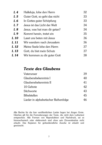| L 4            | Halleluja, lobe den Herrn     | 32 |
|----------------|-------------------------------|----|
| L <sub>5</sub> | Guter Gott, so geht das nicht | 33 |
| Lб             | In Gottes guter Schöpfung     | 33 |
| L <sub>7</sub> | Jesus ist das Licht der Welt  | 34 |
| L8             | Jesus, was hat man dir getan? | 34 |
| L 9            | Kommt herein, tretet ein      | 35 |
| L 10           | Lasst uns beten mit Jesus     | 36 |
| L 11           | Wir wandern nach Jerusalem    | 36 |
| L 12           | Meine Seele lobe den Herrn    | 37 |
| L 13           | Gott, du bist mein Schutz     | 37 |
| L 14           | Wir kommen zu dir guter Gott  | 38 |

### **Texte des Glaubens**

| Vaterunser                           | 39 |
|--------------------------------------|----|
| Glaubensbekenntnis I                 | 40 |
| Glaubensbekenntnis II                | 41 |
| 10 Gebote                            | 42 |
| Stichworte                           | 43 |
| <b>Bibelstellen</b>                  | 45 |
| Lieder in alphabetischer Reihenfolge | 16 |

Alle Rechte für die hier veröffentlichten Lieder liegen bei Jürgen Grote. Gleiches gilt für die Formulierungen der Texte, die nicht dem Luthertext entsprechen. Alle Formen von Reproduktion und Nachdruck, sei es fotomechanisch oder elektronisch sind ohne sein Einverständnis nicht erlaubt. Das Kopieren für gottesdienstliche Zwecke ist erlaubt und gewünscht.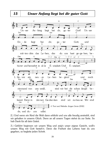#### Unser Anfang liegt bei dir guter Gott



2.) Und wenn ein Kind die Welt dann erblickt und uns alle freudig anstrahlt, sind wir gehalten in unserm Glück. Denn an all unsern Tagen stehst du zur Seite. So hab Dank für all dein Geleit.

3.) Geführt beginnen wir unsern Weg und zeig'n unser eignes Gesicht, woll'n unsern Weg mit Gott besteh'n. Denn die Freiheit des Lebens hast du uns gegeben, so begleite jeden Schritt.

15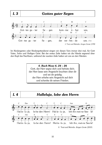

Im Kindergarten oder Kindergottesdienst singen wir diesen Vers immer drei mal, für Gott Vater, Sohn und Heiligen Geist. Bei der ersten Zeile halten wir die Hände segnend über den Kopf des Nachbarn, während der zweiten Zeile halten wir uns an den Händen.

> 4. Buch Mose 6. 24 - 26 Gott, der Herr segne dich und behüte dich; der Herr lasse sein Angesicht leuchten über dir und sei dir gnädig; der Herr erhebe sein Angesicht auf dich und schenke dir seinen Frieden.

 $L<sub>4</sub>$ 

### Halleluja, lobe den Herrn

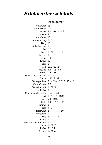## **Stichwortverzeichnis**

#### Liednummer

Ablehnung 13 Anfangslied L9 Angst  $3.1/10.2/11.2$ Anker<sub>7</sub> Annahme 13 Auferstehung 1/6 Berg 16 Blindenheilung 1 Böse 2,3 Burg 10/L 13/L14 Christus 3,2 Dank L1 Engel 17  $Fsel<sub>1</sub>$ Fels 10,1 / L 14 Freude 3,3/4,3/5,5 Friede  $L$  2 / 10.1 Garten Gethsemane 1/5.1 Gebet L 10/ S. 39 Geborgenheit 3/4/9/10/15/17/18 Geist Gottes 3.3 Gemeinschaft 13/L9 Glaube<sub>7</sub> Glaubensbekenntnis S. 40 u. 41 Halt 10 / 12.3 / 18.2 Haus 9.4 / 12.3 Hilfe 3,4 / 5,4 / 11,3 / 16 / L 5 Himmel 2 Hirte  $8/9$ Hoffnung  $2/4/7/9/10$ Jerusalem  $1/L11$ Jesus  $3.2/12/L8$ Kreuz  $1/5$ Lebensgeschichte Jesu 1 Licht  $11/L7$ Liebe 7/10,4 Loben  $14/L4$